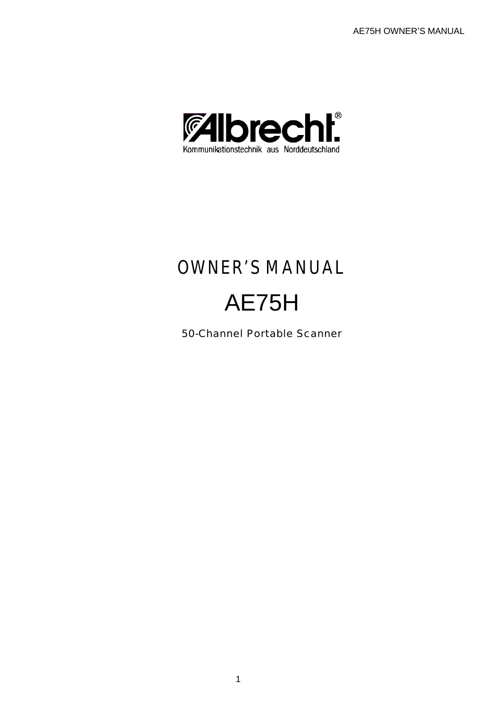

# OWNER'S MANUAL AE75H

50-Channel Portable Scanner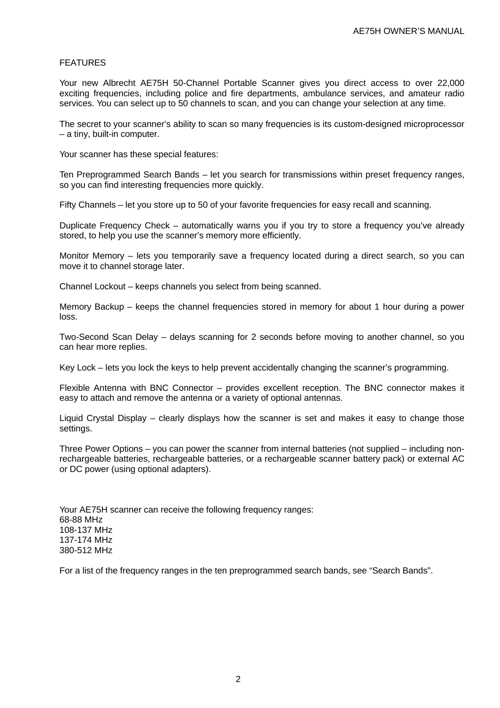## FEATURES

Your new Albrecht AE75H 50-Channel Portable Scanner gives you direct access to over 22,000 exciting frequencies, including police and fire departments, ambulance services, and amateur radio services. You can select up to 50 channels to scan, and you can change your selection at any time.

The secret to your scanner's ability to scan so many frequencies is its custom-designed microprocessor – a tiny, built-in computer.

Your scanner has these special features:

Ten Preprogrammed Search Bands – let you search for transmissions within preset frequency ranges, so you can find interesting frequencies more quickly.

Fifty Channels – let you store up to 50 of your favorite frequencies for easy recall and scanning.

Duplicate Frequency Check – automatically warns you if you try to store a frequency you've already stored, to help you use the scanner's memory more efficiently.

Monitor Memory – lets you temporarily save a frequency located during a direct search, so you can move it to channel storage later.

Channel Lockout – keeps channels you select from being scanned.

Memory Backup – keeps the channel frequencies stored in memory for about 1 hour during a power loss.

Two-Second Scan Delay – delays scanning for 2 seconds before moving to another channel, so you can hear more replies.

Key Lock – lets you lock the keys to help prevent accidentally changing the scanner's programming.

Flexible Antenna with BNC Connector – provides excellent reception. The BNC connector makes it easy to attach and remove the antenna or a variety of optional antennas.

Liquid Crystal Display – clearly displays how the scanner is set and makes it easy to change those settings.

Three Power Options – you can power the scanner from internal batteries (not supplied – including nonrechargeable batteries, rechargeable batteries, or a rechargeable scanner battery pack) or external AC or DC power (using optional adapters).

Your AE75H scanner can receive the following frequency ranges: 68-88 MHz 108-137 MHz 137-174 MHz 380-512 MHz

For a list of the frequency ranges in the ten preprogrammed search bands, see "Search Bands".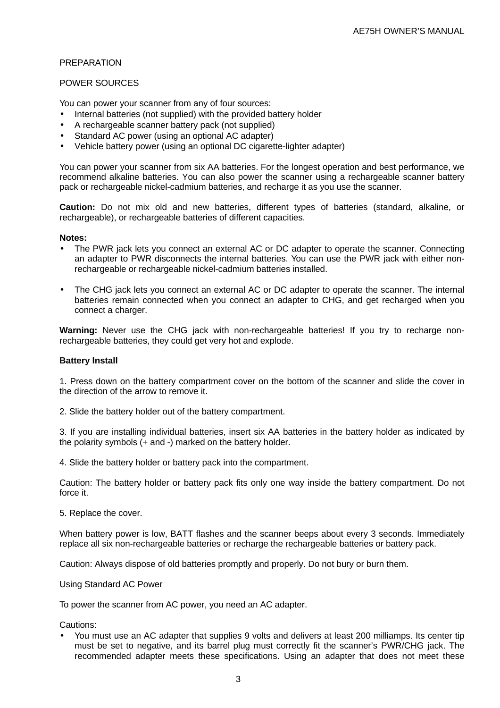## PREPARATION

## POWER SOURCES

You can power your scanner from any of four sources:

- Internal batteries (not supplied) with the provided battery holder
- A rechargeable scanner battery pack (not supplied)
- Standard AC power (using an optional AC adapter)
- Vehicle battery power (using an optional DC cigarette-lighter adapter)

You can power your scanner from six AA batteries. For the longest operation and best performance, we recommend alkaline batteries. You can also power the scanner using a rechargeable scanner battery pack or rechargeable nickel-cadmium batteries, and recharge it as you use the scanner.

**Caution:** Do not mix old and new batteries, different types of batteries (standard, alkaline, or rechargeable), or rechargeable batteries of different capacities.

#### **Notes:**

- The PWR jack lets you connect an external AC or DC adapter to operate the scanner. Connecting an adapter to PWR disconnects the internal batteries. You can use the PWR jack with either nonrechargeable or rechargeable nickel-cadmium batteries installed.
- The CHG jack lets you connect an external AC or DC adapter to operate the scanner. The internal batteries remain connected when you connect an adapter to CHG, and get recharged when you connect a charger.

**Warning:** Never use the CHG jack with non-rechargeable batteries! If you try to recharge nonrechargeable batteries, they could get very hot and explode.

## **Battery Install**

1. Press down on the battery compartment cover on the bottom of the scanner and slide the cover in the direction of the arrow to remove it.

2. Slide the battery holder out of the battery compartment.

3. If you are installing individual batteries, insert six AA batteries in the battery holder as indicated by the polarity symbols (+ and -) marked on the battery holder.

4. Slide the battery holder or battery pack into the compartment.

Caution: The battery holder or battery pack fits only one way inside the battery compartment. Do not force it.

5. Replace the cover.

When battery power is low, BATT flashes and the scanner beeps about every 3 seconds. Immediately replace all six non-rechargeable batteries or recharge the rechargeable batteries or battery pack.

Caution: Always dispose of old batteries promptly and properly. Do not bury or burn them.

Using Standard AC Power

To power the scanner from AC power, you need an AC adapter.

Cautions:

• You must use an AC adapter that supplies 9 volts and delivers at least 200 milliamps. Its center tip must be set to negative, and its barrel plug must correctly fit the scanner's PWR/CHG jack. The recommended adapter meets these specifications. Using an adapter that does not meet these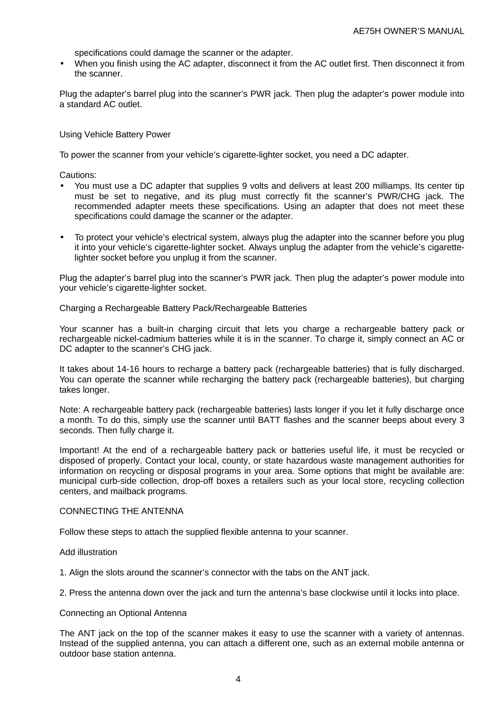specifications could damage the scanner or the adapter.

• When you finish using the AC adapter, disconnect it from the AC outlet first. Then disconnect it from the scanner.

Plug the adapter's barrel plug into the scanner's PWR jack. Then plug the adapter's power module into a standard AC outlet.

## Using Vehicle Battery Power

To power the scanner from your vehicle's cigarette-lighter socket, you need a DC adapter.

Cautions:

- You must use a DC adapter that supplies 9 volts and delivers at least 200 milliamps. Its center tip must be set to negative, and its plug must correctly fit the scanner's PWR/CHG jack. The recommended adapter meets these specifications. Using an adapter that does not meet these specifications could damage the scanner or the adapter.
- To protect your vehicle's electrical system, always plug the adapter into the scanner before you plug it into your vehicle's cigarette-lighter socket. Always unplug the adapter from the vehicle's cigarettelighter socket before you unplug it from the scanner.

Plug the adapter's barrel plug into the scanner's PWR jack. Then plug the adapter's power module into your vehicle's cigarette-lighter socket.

#### Charging a Rechargeable Battery Pack/Rechargeable Batteries

Your scanner has a built-in charging circuit that lets you charge a rechargeable battery pack or rechargeable nickel-cadmium batteries while it is in the scanner. To charge it, simply connect an AC or DC adapter to the scanner's CHG jack.

It takes about 14-16 hours to recharge a battery pack (rechargeable batteries) that is fully discharged. You can operate the scanner while recharging the battery pack (rechargeable batteries), but charging takes longer.

Note: A rechargeable battery pack (rechargeable batteries) lasts longer if you let it fully discharge once a month. To do this, simply use the scanner until BATT flashes and the scanner beeps about every 3 seconds. Then fully charge it.

Important! At the end of a rechargeable battery pack or batteries useful life, it must be recycled or disposed of properly. Contact your local, county, or state hazardous waste management authorities for information on recycling or disposal programs in your area. Some options that might be available are: municipal curb-side collection, drop-off boxes a retailers such as your local store, recycling collection centers, and mailback programs.

#### CONNECTING THE ANTENNA

Follow these steps to attach the supplied flexible antenna to your scanner.

#### Add illustration

1. Align the slots around the scanner's connector with the tabs on the ANT jack.

2. Press the antenna down over the jack and turn the antenna's base clockwise until it locks into place.

#### Connecting an Optional Antenna

The ANT jack on the top of the scanner makes it easy to use the scanner with a variety of antennas. Instead of the supplied antenna, you can attach a different one, such as an external mobile antenna or outdoor base station antenna.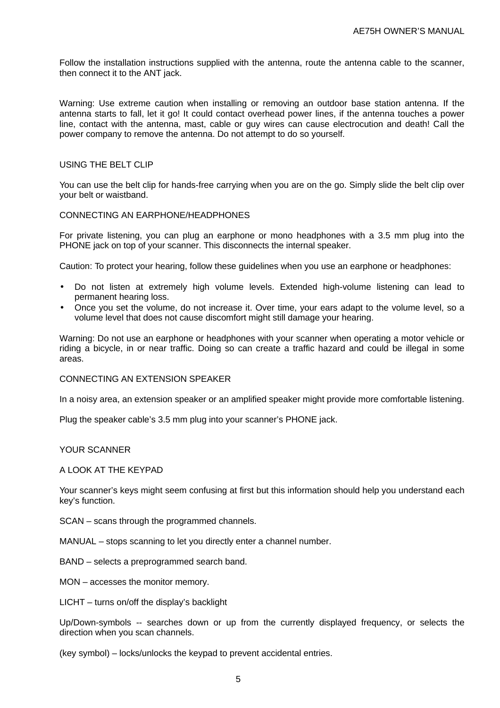Follow the installation instructions supplied with the antenna, route the antenna cable to the scanner, then connect it to the ANT jack.

Warning: Use extreme caution when installing or removing an outdoor base station antenna. If the antenna starts to fall, let it go! It could contact overhead power lines, if the antenna touches a power line, contact with the antenna, mast, cable or guy wires can cause electrocution and death! Call the power company to remove the antenna. Do not attempt to do so yourself.

## USING THE BELT CLIP

You can use the belt clip for hands-free carrying when you are on the go. Simply slide the belt clip over your belt or waistband.

## CONNECTING AN EARPHONE/HEADPHONES

For private listening, you can plug an earphone or mono headphones with a 3.5 mm plug into the PHONE jack on top of your scanner. This disconnects the internal speaker.

Caution: To protect your hearing, follow these guidelines when you use an earphone or headphones:

- Do not listen at extremely high volume levels. Extended high-volume listening can lead to permanent hearing loss.
- Once you set the volume, do not increase it. Over time, your ears adapt to the volume level, so a volume level that does not cause discomfort might still damage your hearing.

Warning: Do not use an earphone or headphones with your scanner when operating a motor vehicle or riding a bicycle, in or near traffic. Doing so can create a traffic hazard and could be illegal in some areas.

#### CONNECTING AN EXTENSION SPEAKER

In a noisy area, an extension speaker or an amplified speaker might provide more comfortable listening.

Plug the speaker cable's 3.5 mm plug into your scanner's PHONE jack.

#### YOUR SCANNER

## A LOOK AT THE KEYPAD

Your scanner's keys might seem confusing at first but this information should help you understand each key's function.

SCAN – scans through the programmed channels.

MANUAL – stops scanning to let you directly enter a channel number.

BAND – selects a preprogrammed search band.

MON – accesses the monitor memory.

LICHT – turns on/off the display's backlight

Up/Down-symbols -- searches down or up from the currently displayed frequency, or selects the direction when you scan channels.

(key symbol) – locks/unlocks the keypad to prevent accidental entries.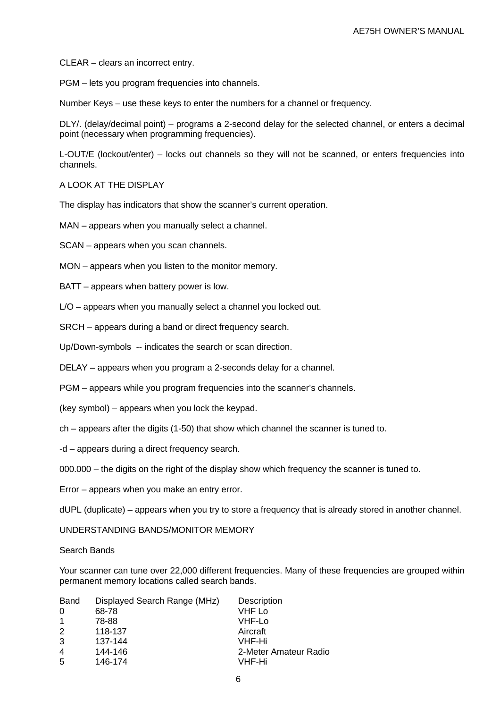CLEAR – clears an incorrect entry.

PGM – lets you program frequencies into channels.

Number Keys – use these keys to enter the numbers for a channel or frequency.

DLY/. (delay/decimal point) – programs a 2-second delay for the selected channel, or enters a decimal point (necessary when programming frequencies).

L-OUT/E (lockout/enter) – locks out channels so they will not be scanned, or enters frequencies into channels.

## A LOOK AT THE DISPLAY

The display has indicators that show the scanner's current operation.

MAN – appears when you manually select a channel.

SCAN – appears when you scan channels.

MON – appears when you listen to the monitor memory.

BATT – appears when battery power is low.

L/O – appears when you manually select a channel you locked out.

SRCH – appears during a band or direct frequency search.

Up/Down-symbols -- indicates the search or scan direction.

DELAY – appears when you program a 2-seconds delay for a channel.

PGM – appears while you program frequencies into the scanner's channels.

(key symbol) – appears when you lock the keypad.

ch – appears after the digits (1-50) that show which channel the scanner is tuned to.

-d – appears during a direct frequency search.

000.000 – the digits on the right of the display show which frequency the scanner is tuned to.

Error – appears when you make an entry error.

dUPL (duplicate) – appears when you try to store a frequency that is already stored in another channel.

UNDERSTANDING BANDS/MONITOR MEMORY

## Search Bands

Your scanner can tune over 22,000 different frequencies. Many of these frequencies are grouped within permanent memory locations called search bands.

| <b>Band</b>    | Displayed Search Range (MHz) | Description           |
|----------------|------------------------------|-----------------------|
| 0              | 68-78                        | VHF Lo                |
|                | 78-88                        | VHF-Lo                |
| $\overline{2}$ | 118-137                      | Aircraft              |
| 3              | 137-144                      | VHF-Hi                |
| $\overline{4}$ | 144-146                      | 2-Meter Amateur Radio |
| -5             | 146-174                      | VHF-Hi                |
|                |                              |                       |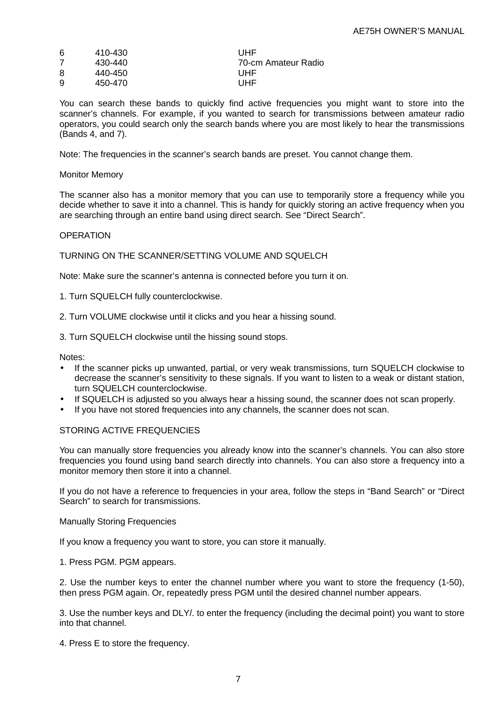| 6 | 410-430 | UHF                 |
|---|---------|---------------------|
| 7 | 430-440 | 70-cm Amateur Radio |
| 8 | 440-450 | UHF                 |
| 9 | 450-470 | UHF                 |

You can search these bands to quickly find active frequencies you might want to store into the scanner's channels. For example, if you wanted to search for transmissions between amateur radio operators, you could search only the search bands where you are most likely to hear the transmissions (Bands 4, and 7).

Note: The frequencies in the scanner's search bands are preset. You cannot change them.

## Monitor Memory

The scanner also has a monitor memory that you can use to temporarily store a frequency while you decide whether to save it into a channel. This is handy for quickly storing an active frequency when you are searching through an entire band using direct search. See "Direct Search".

## OPERATION

TURNING ON THE SCANNER/SETTING VOLUME AND SQUELCH

Note: Make sure the scanner's antenna is connected before you turn it on.

1. Turn SQUELCH fully counterclockwise.

2. Turn VOLUME clockwise until it clicks and you hear a hissing sound.

3. Turn SQUELCH clockwise until the hissing sound stops.

Notes:

- If the scanner picks up unwanted, partial, or very weak transmissions, turn SQUELCH clockwise to decrease the scanner's sensitivity to these signals. If you want to listen to a weak or distant station, turn SQUELCH counterclockwise.
- If SQUELCH is adjusted so you always hear a hissing sound, the scanner does not scan properly.
- If you have not stored frequencies into any channels, the scanner does not scan.

## STORING ACTIVE FREQUENCIES

You can manually store frequencies you already know into the scanner's channels. You can also store frequencies you found using band search directly into channels. You can also store a frequency into a monitor memory then store it into a channel.

If you do not have a reference to frequencies in your area, follow the steps in "Band Search" or "Direct Search" to search for transmissions.

Manually Storing Frequencies

If you know a frequency you want to store, you can store it manually.

1. Press PGM. PGM appears.

2. Use the number keys to enter the channel number where you want to store the frequency (1-50), then press PGM again. Or, repeatedly press PGM until the desired channel number appears.

3. Use the number keys and DLY/. to enter the frequency (including the decimal point) you want to store into that channel.

4. Press E to store the frequency.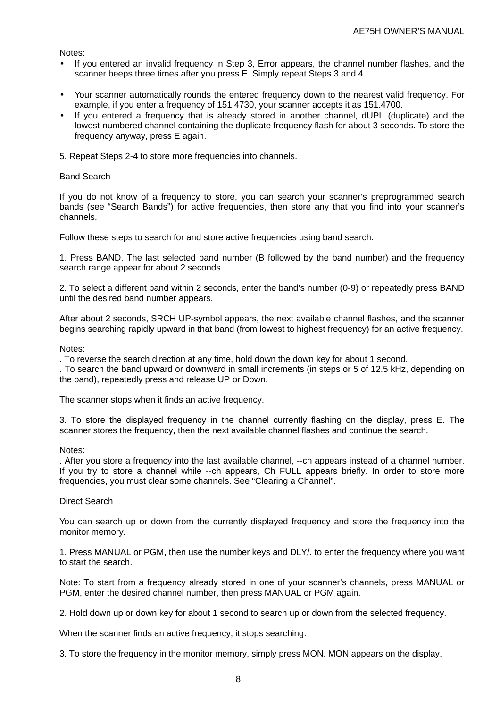Notes:

- If you entered an invalid frequency in Step 3, Error appears, the channel number flashes, and the scanner beeps three times after you press E. Simply repeat Steps 3 and 4.
- Your scanner automatically rounds the entered frequency down to the nearest valid frequency. For example, if you enter a frequency of 151.4730, your scanner accepts it as 151.4700.
- If you entered a frequency that is already stored in another channel, dUPL (duplicate) and the lowest-numbered channel containing the duplicate frequency flash for about 3 seconds. To store the frequency anyway, press E again.
- 5. Repeat Steps 2-4 to store more frequencies into channels.

## Band Search

If you do not know of a frequency to store, you can search your scanner's preprogrammed search bands (see "Search Bands") for active frequencies, then store any that you find into your scanner's channels.

Follow these steps to search for and store active frequencies using band search.

1. Press BAND. The last selected band number (B followed by the band number) and the frequency search range appear for about 2 seconds.

2. To select a different band within 2 seconds, enter the band's number (0-9) or repeatedly press BAND until the desired band number appears.

After about 2 seconds, SRCH UP-symbol appears, the next available channel flashes, and the scanner begins searching rapidly upward in that band (from lowest to highest frequency) for an active frequency.

Notes:

. To reverse the search direction at any time, hold down the down key for about 1 second.

. To search the band upward or downward in small increments (in steps or 5 of 12.5 kHz, depending on the band), repeatedly press and release UP or Down.

The scanner stops when it finds an active frequency.

3. To store the displayed frequency in the channel currently flashing on the display, press E. The scanner stores the frequency, then the next available channel flashes and continue the search.

#### Notes:

. After you store a frequency into the last available channel, --ch appears instead of a channel number. If you try to store a channel while --ch appears, Ch FULL appears briefly. In order to store more frequencies, you must clear some channels. See "Clearing a Channel".

#### Direct Search

You can search up or down from the currently displayed frequency and store the frequency into the monitor memory.

1. Press MANUAL or PGM, then use the number keys and DLY/. to enter the frequency where you want to start the search.

Note: To start from a frequency already stored in one of your scanner's channels, press MANUAL or PGM, enter the desired channel number, then press MANUAL or PGM again.

2. Hold down up or down key for about 1 second to search up or down from the selected frequency.

When the scanner finds an active frequency, it stops searching.

3. To store the frequency in the monitor memory, simply press MON. MON appears on the display.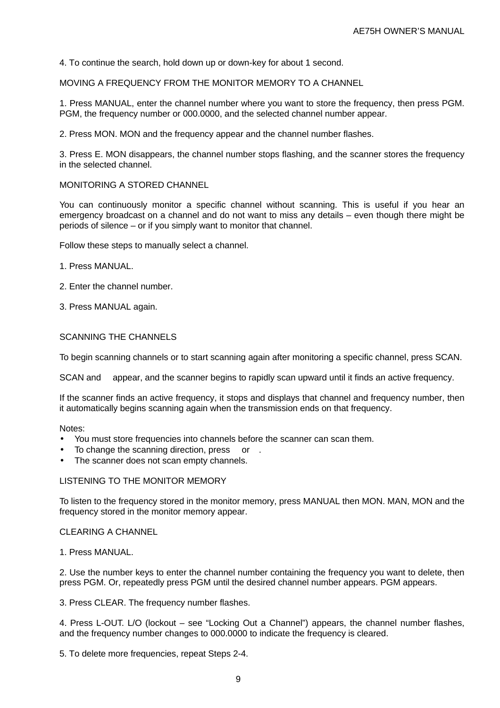4. To continue the search, hold down up or down-key for about 1 second.

MOVING A FREQUENCY FROM THE MONITOR MEMORY TO A CHANNEL

1. Press MANUAL, enter the channel number where you want to store the frequency, then press PGM. PGM, the frequency number or 000.0000, and the selected channel number appear.

2. Press MON. MON and the frequency appear and the channel number flashes.

3. Press E. MON disappears, the channel number stops flashing, and the scanner stores the frequency in the selected channel.

MONITORING A STORED CHANNEL

You can continuously monitor a specific channel without scanning. This is useful if you hear an emergency broadcast on a channel and do not want to miss any details – even though there might be periods of silence – or if you simply want to monitor that channel.

Follow these steps to manually select a channel.

- 1. Press MANUAL.
- 2. Enter the channel number.
- 3. Press MANUAL again.

#### SCANNING THE CHANNELS

To begin scanning channels or to start scanning again after monitoring a specific channel, press SCAN.

SCAN and appear, and the scanner begins to rapidly scan upward until it finds an active frequency.

If the scanner finds an active frequency, it stops and displays that channel and frequency number, then it automatically begins scanning again when the transmission ends on that frequency.

#### Notes:

- You must store frequencies into channels before the scanner can scan them.
- To change the scanning direction, press or
- The scanner does not scan empty channels.

#### LISTENING TO THE MONITOR MEMORY

To listen to the frequency stored in the monitor memory, press MANUAL then MON. MAN, MON and the frequency stored in the monitor memory appear.

#### CLEARING A CHANNEL

1. Press MANUAL.

2. Use the number keys to enter the channel number containing the frequency you want to delete, then press PGM. Or, repeatedly press PGM until the desired channel number appears. PGM appears.

3. Press CLEAR. The frequency number flashes.

4. Press L-OUT. L/O (lockout – see "Locking Out a Channel") appears, the channel number flashes, and the frequency number changes to 000.0000 to indicate the frequency is cleared.

5. To delete more frequencies, repeat Steps 2-4.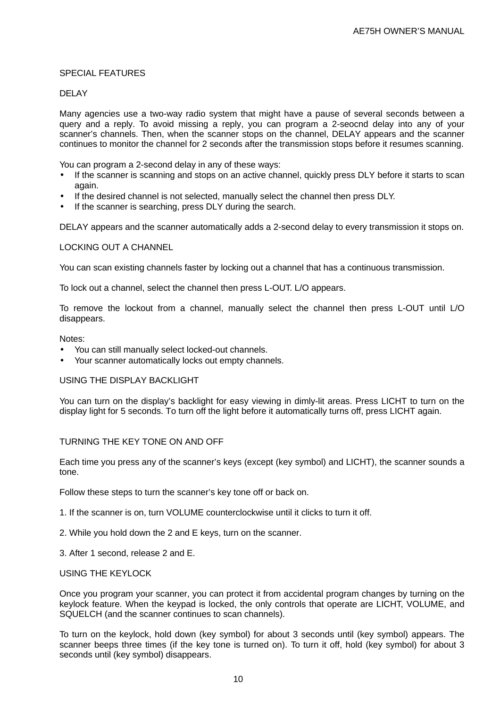## SPECIAL FEATURES

## DELAY

Many agencies use a two-way radio system that might have a pause of several seconds between a query and a reply. To avoid missing a reply, you can program a 2-seocnd delay into any of your scanner's channels. Then, when the scanner stops on the channel, DELAY appears and the scanner continues to monitor the channel for 2 seconds after the transmission stops before it resumes scanning.

You can program a 2-second delay in any of these ways:

- If the scanner is scanning and stops on an active channel, quickly press DLY before it starts to scan again.
- If the desired channel is not selected, manually select the channel then press DLY.
- If the scanner is searching, press DLY during the search.

DELAY appears and the scanner automatically adds a 2-second delay to every transmission it stops on.

## LOCKING OUT A CHANNEL

You can scan existing channels faster by locking out a channel that has a continuous transmission.

To lock out a channel, select the channel then press L-OUT. L/O appears.

To remove the lockout from a channel, manually select the channel then press L-OUT until L/O disappears.

Notes:

- You can still manually select locked-out channels.
- Your scanner automatically locks out empty channels.

## USING THE DISPLAY BACKLIGHT

You can turn on the display's backlight for easy viewing in dimly-lit areas. Press LICHT to turn on the display light for 5 seconds. To turn off the light before it automatically turns off, press LICHT again.

#### TURNING THE KEY TONE ON AND OFF

Each time you press any of the scanner's keys (except (key symbol) and LICHT), the scanner sounds a tone.

Follow these steps to turn the scanner's key tone off or back on.

- 1. If the scanner is on, turn VOLUME counterclockwise until it clicks to turn it off.
- 2. While you hold down the 2 and E keys, turn on the scanner.
- 3. After 1 second, release 2 and E.

#### USING THE KEYLOCK

Once you program your scanner, you can protect it from accidental program changes by turning on the keylock feature. When the keypad is locked, the only controls that operate are LICHT, VOLUME, and SQUELCH (and the scanner continues to scan channels).

To turn on the keylock, hold down (key symbol) for about 3 seconds until (key symbol) appears. The scanner beeps three times (if the key tone is turned on). To turn it off, hold (key symbol) for about 3 seconds until (key symbol) disappears.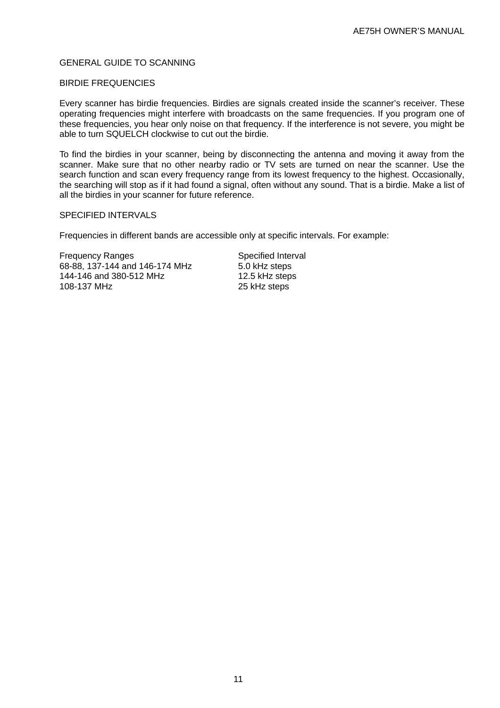## GENERAL GUIDE TO SCANNING

## BIRDIE FREQUENCIES

Every scanner has birdie frequencies. Birdies are signals created inside the scanner's receiver. These operating frequencies might interfere with broadcasts on the same frequencies. If you program one of these frequencies, you hear only noise on that frequency. If the interference is not severe, you might be able to turn SQUELCH clockwise to cut out the birdie.

To find the birdies in your scanner, being by disconnecting the antenna and moving it away from the scanner. Make sure that no other nearby radio or TV sets are turned on near the scanner. Use the search function and scan every frequency range from its lowest frequency to the highest. Occasionally, the searching will stop as if it had found a signal, often without any sound. That is a birdie. Make a list of all the birdies in your scanner for future reference.

## SPECIFIED INTERVALS

Frequencies in different bands are accessible only at specific intervals. For example:

Frequency Ranges Specified Interval 68-88, 137-144 and 146-174 MHz 5.0 kHz steps 144-146 and 380-512 MHz 12.5 kHz steps 108-137 MHz 25 kHz steps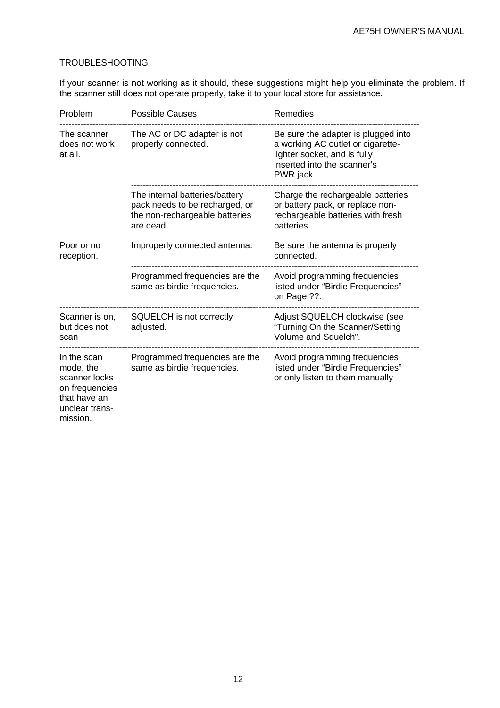# TROUBLESHOOTING

If your scanner is not working as it should, these suggestions might help you eliminate the problem. If the scanner still does not operate properly, take it to your local store for assistance.

| Problem                                                                                                   | <b>Possible Causes</b>                                                                                          | Remedies                                                                                                                                             |
|-----------------------------------------------------------------------------------------------------------|-----------------------------------------------------------------------------------------------------------------|------------------------------------------------------------------------------------------------------------------------------------------------------|
| The scanner<br>does not work<br>at all.                                                                   | The AC or DC adapter is not<br>properly connected.                                                              | Be sure the adapter is plugged into<br>a working AC outlet or cigarette-<br>lighter socket, and is fully<br>inserted into the scanner's<br>PWR jack. |
|                                                                                                           | The internal batteries/battery<br>pack needs to be recharged, or<br>the non-rechargeable batteries<br>are dead. | Charge the rechargeable batteries<br>or battery pack, or replace non-<br>rechargeable batteries with fresh<br>batteries.                             |
| Poor or no<br>reception.                                                                                  | Improperly connected antenna.                                                                                   | Be sure the antenna is properly<br>connected.                                                                                                        |
|                                                                                                           | Programmed frequencies are the<br>same as birdie frequencies.                                                   | Avoid programming frequencies<br>listed under "Birdie Frequencies"<br>on Page ??.                                                                    |
| Scanner is on,<br>but does not<br>scan                                                                    | SQUELCH is not correctly<br>adjusted.                                                                           | Adjust SQUELCH clockwise (see<br>"Turning On the Scanner/Setting<br>Volume and Squelch".                                                             |
| In the scan<br>mode, the<br>scanner locks<br>on frequencies<br>that have an<br>unclear trans-<br>mission. | Programmed frequencies are the<br>same as birdie frequencies.                                                   | Avoid programming frequencies<br>listed under "Birdie Frequencies"<br>or only listen to them manually                                                |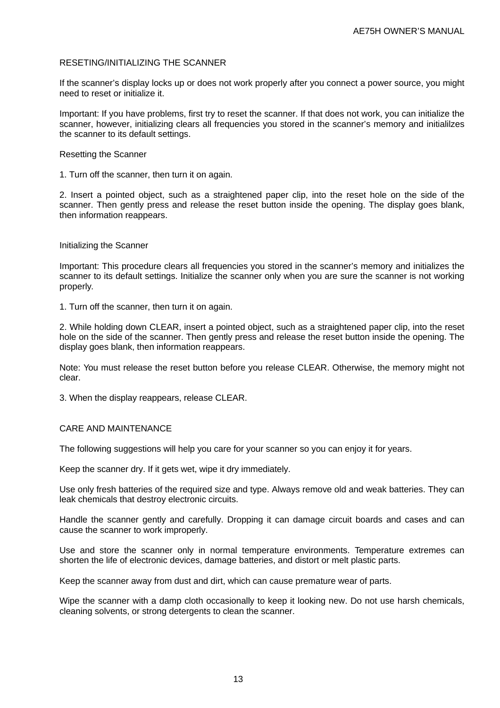## RESETING/INITIALIZING THE SCANNER

If the scanner's display locks up or does not work properly after you connect a power source, you might need to reset or initialize it.

Important: If you have problems, first try to reset the scanner. If that does not work, you can initialize the scanner, however, initializing clears all frequencies you stored in the scanner's memory and initialilzes the scanner to its default settings.

#### Resetting the Scanner

1. Turn off the scanner, then turn it on again.

2. Insert a pointed object, such as a straightened paper clip, into the reset hole on the side of the scanner. Then gently press and release the reset button inside the opening. The display goes blank, then information reappears.

## Initializing the Scanner

Important: This procedure clears all frequencies you stored in the scanner's memory and initializes the scanner to its default settings. Initialize the scanner only when you are sure the scanner is not working properly.

1. Turn off the scanner, then turn it on again.

2. While holding down CLEAR, insert a pointed object, such as a straightened paper clip, into the reset hole on the side of the scanner. Then gently press and release the reset button inside the opening. The display goes blank, then information reappears.

Note: You must release the reset button before you release CLEAR. Otherwise, the memory might not clear.

3. When the display reappears, release CLEAR.

## CARE AND MAINTENANCE

The following suggestions will help you care for your scanner so you can enjoy it for years.

Keep the scanner dry. If it gets wet, wipe it dry immediately.

Use only fresh batteries of the required size and type. Always remove old and weak batteries. They can leak chemicals that destroy electronic circuits.

Handle the scanner gently and carefully. Dropping it can damage circuit boards and cases and can cause the scanner to work improperly.

Use and store the scanner only in normal temperature environments. Temperature extremes can shorten the life of electronic devices, damage batteries, and distort or melt plastic parts.

Keep the scanner away from dust and dirt, which can cause premature wear of parts.

Wipe the scanner with a damp cloth occasionally to keep it looking new. Do not use harsh chemicals, cleaning solvents, or strong detergents to clean the scanner.